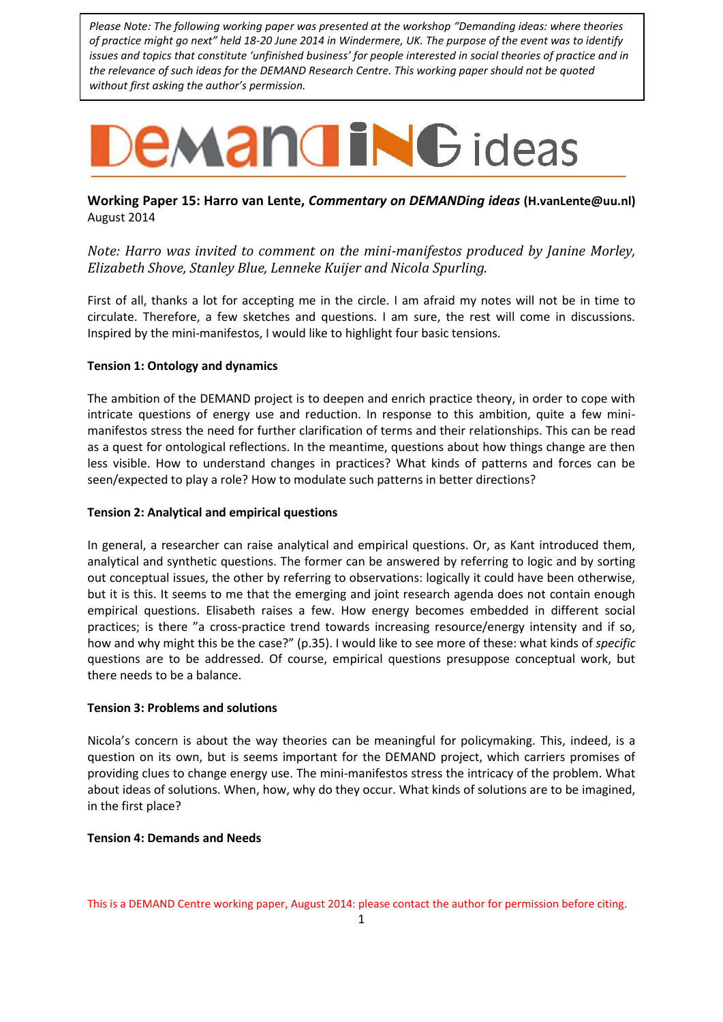*Please Note: The following working paper was presented at the workshop "Demanding ideas: where theories of practice might go next" held 18-20 June 2014 in Windermere, UK. The purpose of the event was to identify issues and topics that constitute 'unfinished business' for people interested in social theories of practice and in the relevance of such ideas for the DEMAND Research Centre. This working paper should not be quoted without first asking the author's permission.*

# **EMANGING** ideas

## **Working Paper 15: Harro van Lente,** *Commentary on DEMANDing ideas* **[\(H.vanLente@uu.nl\)](mailto:H.vanLente@uu.nl)**  August 2014

*Note: Harro was invited to comment on the mini-manifestos produced by Janine Morley, Elizabeth Shove, Stanley Blue, Lenneke Kuijer and Nicola Spurling.*

First of all, thanks a lot for accepting me in the circle. I am afraid my notes will not be in time to circulate. Therefore, a few sketches and questions. I am sure, the rest will come in discussions. Inspired by the mini-manifestos, I would like to highlight four basic tensions.

#### **Tension 1: Ontology and dynamics**

The ambition of the DEMAND project is to deepen and enrich practice theory, in order to cope with intricate questions of energy use and reduction. In response to this ambition, quite a few minimanifestos stress the need for further clarification of terms and their relationships. This can be read as a quest for ontological reflections. In the meantime, questions about how things change are then less visible. How to understand changes in practices? What kinds of patterns and forces can be seen/expected to play a role? How to modulate such patterns in better directions?

#### **Tension 2: Analytical and empirical questions**

In general, a researcher can raise analytical and empirical questions. Or, as Kant introduced them, analytical and synthetic questions. The former can be answered by referring to logic and by sorting out conceptual issues, the other by referring to observations: logically it could have been otherwise, but it is this. It seems to me that the emerging and joint research agenda does not contain enough empirical questions. Elisabeth raises a few. How energy becomes embedded in different social practices; is there "a cross-practice trend towards increasing resource/energy intensity and if so, how and why might this be the case?" (p.35). I would like to see more of these: what kinds of *specific* questions are to be addressed. Of course, empirical questions presuppose conceptual work, but there needs to be a balance.

#### **Tension 3: Problems and solutions**

Nicola's concern is about the way theories can be meaningful for policymaking. This, indeed, is a question on its own, but is seems important for the DEMAND project, which carriers promises of providing clues to change energy use. The mini-manifestos stress the intricacy of the problem. What about ideas of solutions. When, how, why do they occur. What kinds of solutions are to be imagined, in the first place?

#### **Tension 4: Demands and Needs**

This is a DEMAND Centre working paper, August 2014: please contact the author for permission before citing.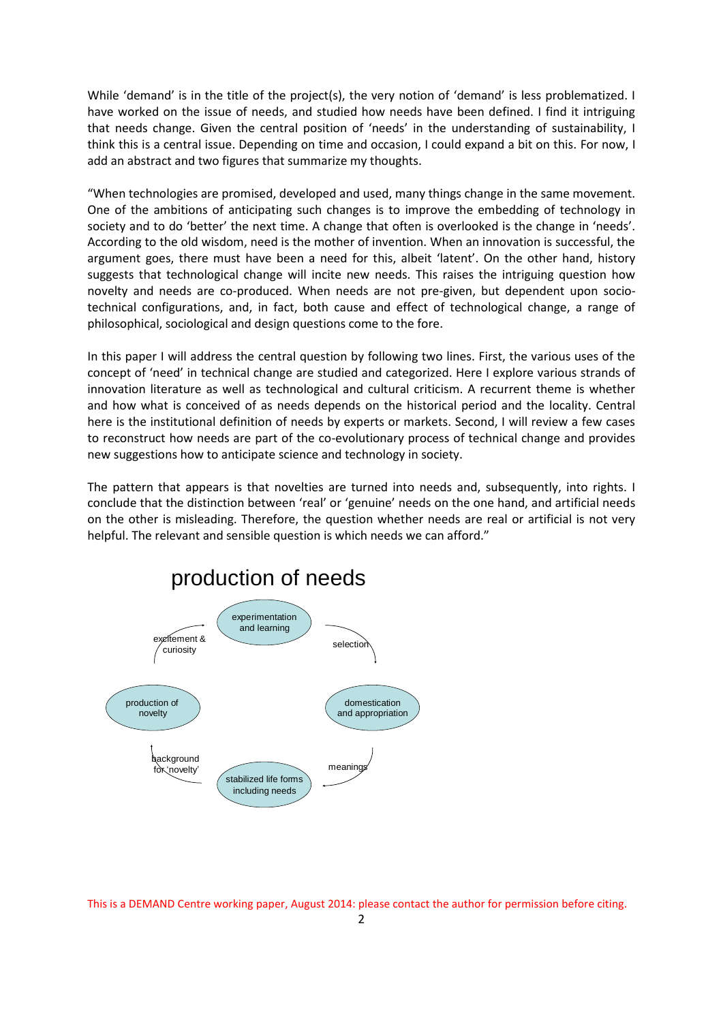While 'demand' is in the title of the project(s), the very notion of 'demand' is less problematized. I have worked on the issue of needs, and studied how needs have been defined. I find it intriguing that needs change. Given the central position of 'needs' in the understanding of sustainability, I think this is a central issue. Depending on time and occasion, I could expand a bit on this. For now, I add an abstract and two figures that summarize my thoughts.

"When technologies are promised, developed and used, many things change in the same movement. One of the ambitions of anticipating such changes is to improve the embedding of technology in society and to do 'better' the next time. A change that often is overlooked is the change in 'needs'. According to the old wisdom, need is the mother of invention. When an innovation is successful, the argument goes, there must have been a need for this, albeit 'latent'. On the other hand, history suggests that technological change will incite new needs. This raises the intriguing question how novelty and needs are co-produced. When needs are not pre-given, but dependent upon sociotechnical configurations, and, in fact, both cause and effect of technological change, a range of philosophical, sociological and design questions come to the fore.

In this paper I will address the central question by following two lines. First, the various uses of the concept of 'need' in technical change are studied and categorized. Here I explore various strands of innovation literature as well as technological and cultural criticism. A recurrent theme is whether and how what is conceived of as needs depends on the historical period and the locality. Central here is the institutional definition of needs by experts or markets. Second, I will review a few cases to reconstruct how needs are part of the co-evolutionary process of technical change and provides new suggestions how to anticipate science and technology in society.

The pattern that appears is that novelties are turned into needs and, subsequently, into rights. I conclude that the distinction between 'real' or 'genuine' needs on the one hand, and artificial needs on the other is misleading. Therefore, the question whether needs are real or artificial is not very helpful. The relevant and sensible question is which needs we can afford."



production of needs

This is a DEMAND Centre working paper, August 2014: please contact the author for permission before citing.